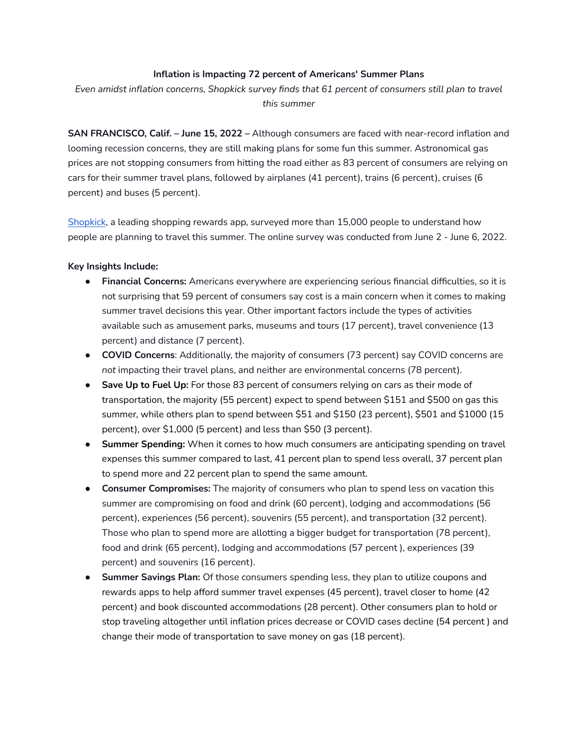## **Inflation is Impacting 72 percent of Americans' Summer Plans**

*Even amidst inflation concerns, Shopkick survey finds that 61 percent of consumers still plan to travel this summer*

**SAN FRANCISCO, Calif. – June 15, 2022 –** Although consumers are faced with near-record inflation and looming recession concerns, they are still making plans for some fun this summer. Astronomical gas prices are not stopping consumers from hitting the road either as 83 percent of consumers are relying on cars for their summer travel plans, followed by airplanes (41 percent), trains (6 percent), cruises (6 percent) and buses (5 percent).

[Shopkick](https://www.shopkick.com/), a leading shopping rewards app, surveyed more than 15,000 people to understand how people are planning to travel this summer. The online survey was conducted from June 2 - June 6, 2022.

## **Key Insights Include:**

- **● Financial Concerns:** Americans everywhere are experiencing serious financial difficulties, so it is not surprising that 59 percent of consumers say cost is a main concern when it comes to making summer travel decisions this year. Other important factors include the types of activities available such as amusement parks, museums and tours (17 percent), travel convenience (13 percent) and distance (7 percent).
- **● COVID Concerns**: Additionally, the majority of consumers (73 percent) say COVID concerns are *not* impacting their travel plans, and neither are environmental concerns (78 percent).
- **Save Up to Fuel Up:** For those 83 percent of consumers relying on cars as their mode of transportation, the majority (55 percent) expect to spend between \$151 and \$500 on gas this summer, while others plan to spend between \$51 and \$150 (23 percent), \$501 and \$1000 (15 percent), over \$1,000 (5 percent) and less than \$50 (3 percent).
- **● Summer Spending:** When it comes to how much consumers are anticipating spending on travel expenses this summer compared to last, 41 percent plan to spend less overall, 37 percent plan to spend more and 22 percent plan to spend the same amount.
- **Consumer Compromises:** The majority of consumers who plan to spend less on vacation this summer are compromising on food and drink (60 percent), lodging and accommodations (56 percent), experiences (56 percent), souvenirs (55 percent), and transportation (32 percent). Those who plan to spend more are allotting a bigger budget for transportation (78 percent), food and drink (65 percent), lodging and accommodations (57 percent ), experiences (39 percent) and souvenirs (16 percent).
- **● Summer Savings Plan:** Of those consumers spending less, they plan to utilize coupons and rewards apps to help afford summer travel expenses (45 percent), travel closer to home (42 percent) and book discounted accommodations (28 percent). Other consumers plan to hold or stop traveling altogether until inflation prices decrease or COVID cases decline (54 percent ) and change their mode of transportation to save money on gas (18 percent).